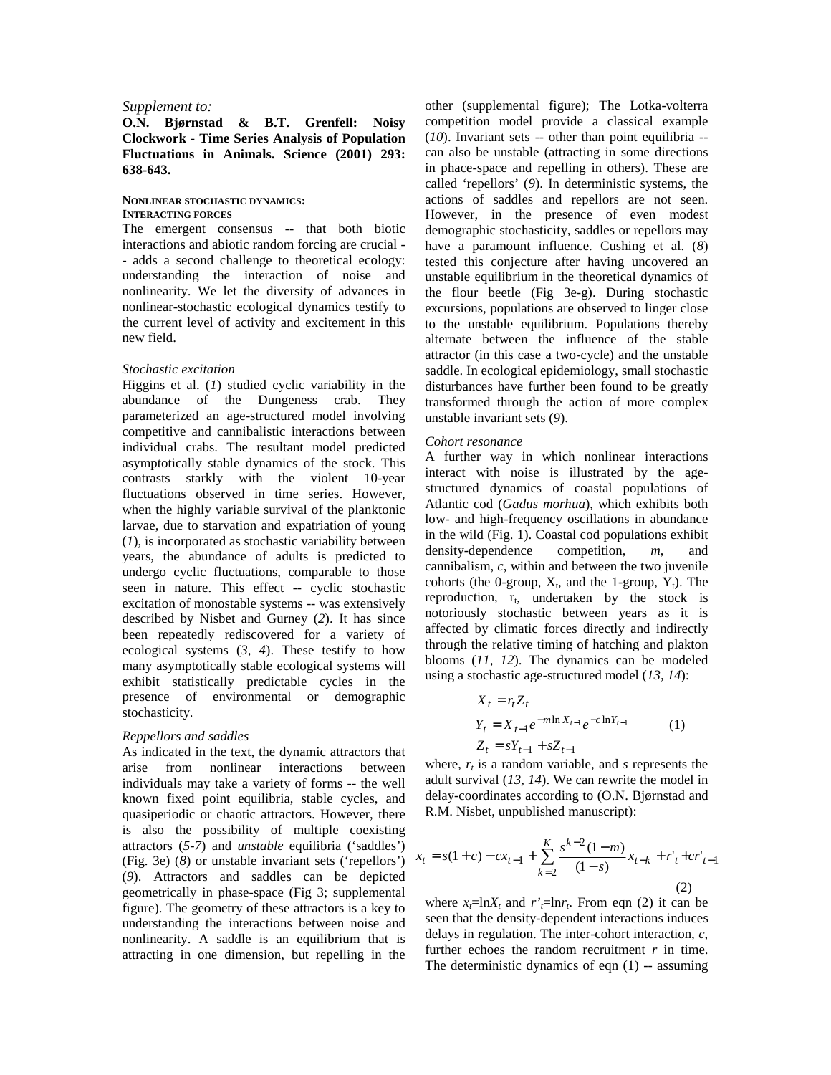## *Supplement to:*

# **O.N. Bjørnstad & B.T. Grenfell: Noisy Clockwork - Time Series Analysis of Population Fluctuations in Animals. Science (2001) 293: 638-643.**

## **NONLINEAR STOCHASTIC DYNAMICS: INTERACTING FORCES**

The emergent consensus -- that both biotic interactions and abiotic random forcing are crucial - - adds a second challenge to theoretical ecology: understanding the interaction of noise and nonlinearity. We let the diversity of advances in nonlinear-stochastic ecological dynamics testify to the current level of activity and excitement in this new field.

#### *Stochastic excitation*

Higgins et al. (*1*) studied cyclic variability in the abundance of the Dungeness crab. They parameterized an age-structured model involving competitive and cannibalistic interactions between individual crabs. The resultant model predicted asymptotically stable dynamics of the stock. This contrasts starkly with the violent 10-year fluctuations observed in time series. However, when the highly variable survival of the planktonic larvae, due to starvation and expatriation of young (*1*), is incorporated as stochastic variability between years, the abundance of adults is predicted to undergo cyclic fluctuations, comparable to those seen in nature. This effect -- cyclic stochastic excitation of monostable systems -- was extensively described by Nisbet and Gurney (*2*). It has since been repeatedly rediscovered for a variety of ecological systems (*3, 4*). These testify to how many asymptotically stable ecological systems will exhibit statistically predictable cycles in the presence of environmental or demographic stochasticity.

## *Reppellors and saddles*

As indicated in the text, the dynamic attractors that arise from nonlinear interactions between individuals may take a variety of forms -- the well known fixed point equilibria, stable cycles, and quasiperiodic or chaotic attractors. However, there is also the possibility of multiple coexisting attractors (*5-7*) and *unstable* equilibria ('saddles') (Fig. 3e) (*8*) or unstable invariant sets ('repellors') (*9*). Attractors and saddles can be depicted geometrically in phase-space (Fig 3; supplemental figure). The geometry of these attractors is a key to understanding the interactions between noise and nonlinearity. A saddle is an equilibrium that is attracting in one dimension, but repelling in the

other (supplemental figure); The Lotka-volterra competition model provide a classical example (*10*). Invariant sets -- other than point equilibria - can also be unstable (attracting in some directions in phace-space and repelling in others). These are called 'repellors' (*9*). In deterministic systems, the actions of saddles and repellors are not seen. However, in the presence of even modest demographic stochasticity, saddles or repellors may have a paramount influence. Cushing et al. (*8*) tested this conjecture after having uncovered an unstable equilibrium in the theoretical dynamics of the flour beetle (Fig 3e-g). During stochastic excursions, populations are observed to linger close to the unstable equilibrium. Populations thereby alternate between the influence of the stable attractor (in this case a two-cycle) and the unstable saddle. In ecological epidemiology, small stochastic disturbances have further been found to be greatly transformed through the action of more complex unstable invariant sets (*9*).

## *Cohort resonance*

A further way in which nonlinear interactions interact with noise is illustrated by the agestructured dynamics of coastal populations of Atlantic cod (*Gadus morhua*), which exhibits both low- and high-frequency oscillations in abundance in the wild (Fig. 1). Coastal cod populations exhibit density-dependence competition, *m*, and cannibalism, *c*, within and between the two juvenile cohorts (the 0-group,  $X_t$ , and the 1-group,  $Y_t$ ). The reproduction,  $r_t$ , undertaken by the stock is notoriously stochastic between years as it is affected by climatic forces directly and indirectly through the relative timing of hatching and plakton blooms (*11, 12*). The dynamics can be modeled using a stochastic age-structured model (*13, 14*):

$$
X_{t} = r_{t} Z_{t}
$$
  
\n
$$
Y_{t} = X_{t-1} e^{-m \ln X_{t-1}} e^{-c \ln Y_{t-1}}
$$
  
\n
$$
Z_{t} = sY_{t-1} + sZ_{t-1}
$$
\n(1)

where,  $r_t$  is a random variable, and  $s$  represents the adult survival (*13, 14*). We can rewrite the model in delay-coordinates according to (O.N. Bjørnstad and R.M. Nisbet, unpublished manuscript):

$$
x_{t} = s(1+c) - cx_{t-1} + \sum_{k=2}^{K} \frac{s^{k-2} (1-m)}{(1-s)} x_{t-k} + r'_{t} + cr'_{t-1}
$$
  
(2)

where  $x_t = \ln X_t$  and  $r' = \ln r_t$ . From eqn (2) it can be seen that the density-dependent interactions induces delays in regulation. The inter-cohort interaction, *c*, further echoes the random recruitment  $r$  in time. The deterministic dynamics of eqn  $(1)$  -- assuming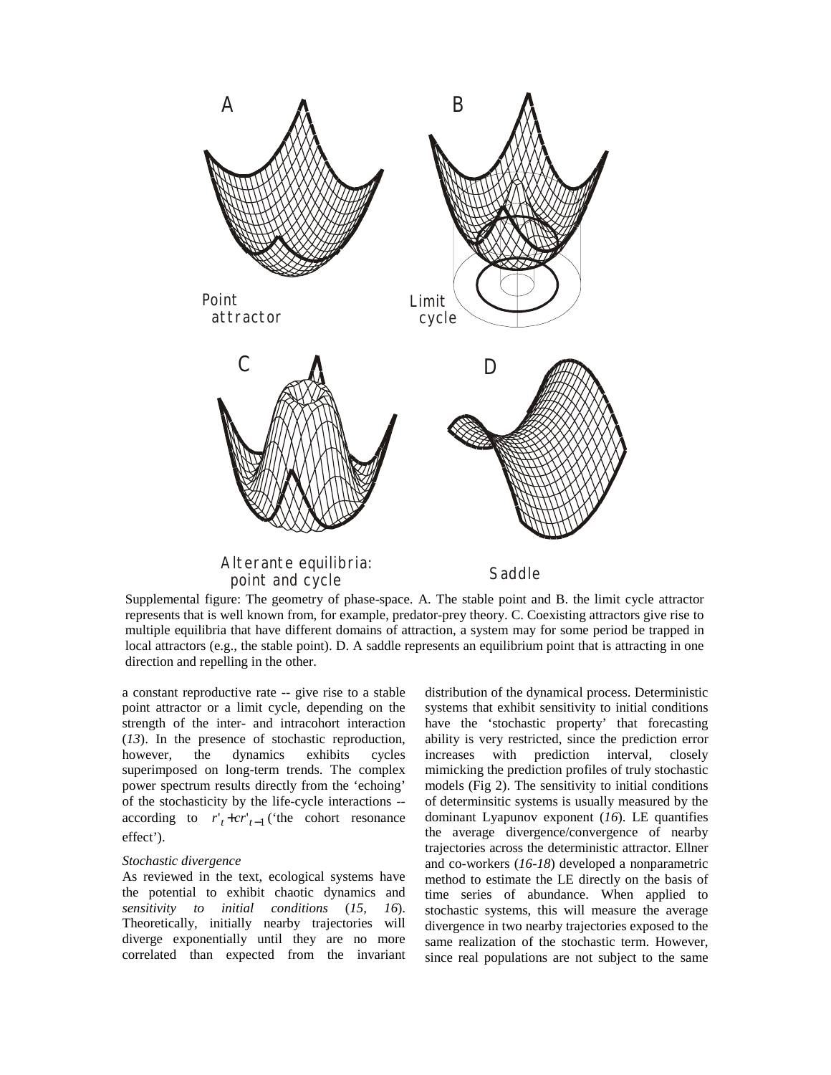

Supplemental figure: The geometry of phase-space. A. The stable point and B. the limit cycle attractor represents that is well known from, for example, predator-prey theory. C. Coexisting attractors give rise to multiple equilibria that have different domains of attraction, a system may for some period be trapped in local attractors (e.g., the stable point). D. A saddle represents an equilibrium point that is attracting in one direction and repelling in the other.

a constant reproductive rate -- give rise to a stable point attractor or a limit cycle, depending on the strength of the inter- and intracohort interaction (*13*). In the presence of stochastic reproduction, however, the dynamics exhibits cycles superimposed on long-term trends. The complex power spectrum results directly from the 'echoing' of the stochasticity by the life-cycle interactions - according to  $r'_{t}$  +  $cr'_{t-1}$  ('the cohort resonance effect').

## *Stochastic divergence*

As reviewed in the text, ecological systems have the potential to exhibit chaotic dynamics and *sensitivity to initial conditions* (*15, 16*). Theoretically, initially nearby trajectories will diverge exponentially until they are no more correlated than expected from the invariant distribution of the dynamical process. Deterministic systems that exhibit sensitivity to initial conditions have the 'stochastic property' that forecasting ability is very restricted, since the prediction error increases with prediction interval, closely mimicking the prediction profiles of truly stochastic models (Fig 2). The sensitivity to initial conditions of determinsitic systems is usually measured by the dominant Lyapunov exponent (*16*). LE quantifies the average divergence/convergence of nearby trajectories across the deterministic attractor. Ellner and co-workers (*16-18*) developed a nonparametric method to estimate the LE directly on the basis of time series of abundance. When applied to stochastic systems, this will measure the average divergence in two nearby trajectories exposed to the same realization of the stochastic term. However, since real populations are not subject to the same